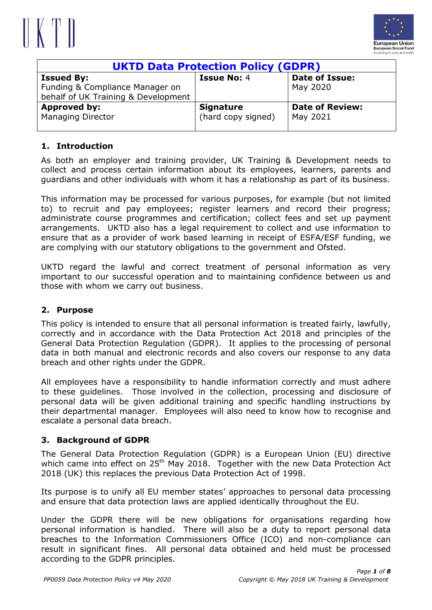



| <b>UKTD Data Protection Policy (GDPR)</b> |                    |                        |
|-------------------------------------------|--------------------|------------------------|
| <b>Issued By:</b>                         | <b>Issue No: 4</b> | <b>Date of Issue:</b>  |
| Funding & Compliance Manager on           |                    | May 2020               |
| behalf of UK Training & Development       |                    |                        |
| Approved by:                              | <b>Signature</b>   | <b>Date of Review:</b> |
| <b>Managing Director</b>                  | (hard copy signed) | May 2021               |
|                                           |                    |                        |

#### **1. Introduction**

As both an employer and training provider, UK Training & Development needs to collect and process certain information about its employees, learners, parents and guardians and other individuals with whom it has a relationship as part of its business.

This information may be processed for various purposes, for example (but not limited to) to recruit and pay employees; register learners and record their progress; administrate course programmes and certification; collect fees and set up payment arrangements. UKTD also has a legal requirement to collect and use information to ensure that as a provider of work based learning in receipt of ESFA/ESF funding, we are complying with our statutory obligations to the government and Ofsted.

UKTD regard the lawful and correct treatment of personal information as very important to our successful operation and to maintaining confidence between us and those with whom we carry out business.

#### **2. Purpose**

This policy is intended to ensure that all personal information is treated fairly, lawfully, correctly and in accordance with the Data Protection Act 2018 and principles of the General Data Protection Regulation (GDPR). It applies to the processing of personal data in both manual and electronic records and also covers our response to any data breach and other rights under the GDPR.

All employees have a responsibility to handle information correctly and must adhere to these guidelines. Those involved in the collection, processing and disclosure of personal data will be given additional training and specific handling instructions by their departmental manager. Employees will also need to know how to recognise and escalate a personal data breach.

#### **3. Background of GDPR**

The General Data Protection Regulation (GDPR) is a European Union (EU) directive which came into effect on 25<sup>th</sup> May 2018. Together with the new Data Protection Act 2018 (UK) this replaces the previous Data Protection Act of 1998.

Its purpose is to unify all EU member states' approaches to personal data processing and ensure that data protection laws are applied identically throughout the EU.

Under the GDPR there will be new obligations for organisations regarding how personal information is handled. There will also be a duty to report personal data breaches to the Information Commissioners Office (ICO) and non-compliance can result in significant fines. All personal data obtained and held must be processed according to the GDPR principles.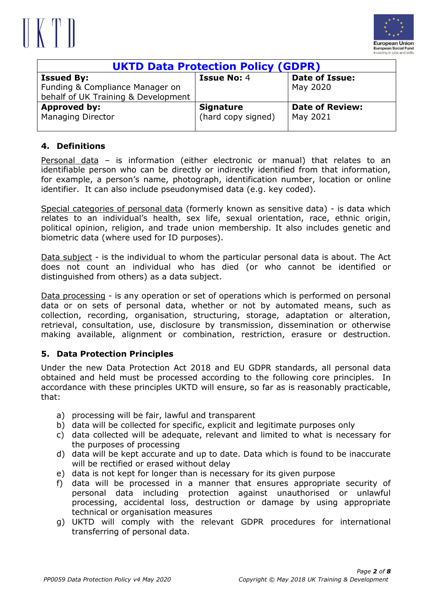



| <b>UKTD Data Protection Policy (GDPR)</b> |                    |                        |
|-------------------------------------------|--------------------|------------------------|
| <b>Issued By:</b>                         | <b>Issue No: 4</b> | <b>Date of Issue:</b>  |
| Funding & Compliance Manager on           |                    | May 2020               |
| behalf of UK Training & Development       |                    |                        |
| Approved by:                              | <b>Signature</b>   | <b>Date of Review:</b> |
| <b>Managing Director</b>                  | (hard copy signed) | May 2021               |
|                                           |                    |                        |

#### **4. Definitions**

Personal data – is information (either electronic or manual) that relates to an identifiable person who can be directly or indirectly identified from that information, for example, a person's name, photograph, identification number, location or online identifier. It can also include pseudonymised data (e.g. key coded).

Special categories of personal data (formerly known as sensitive data) - is data which relates to an individual's health, sex life, sexual orientation, race, ethnic origin, political opinion, religion, and trade union membership. It also includes genetic and biometric data (where used for ID purposes).

Data subject - is the individual to whom the particular personal data is about. The Act does not count an individual who has died (or who cannot be identified or distinguished from others) as a data subject.

Data processing - is any operation or set of operations which is performed on personal data or on sets of personal data, whether or not by automated means, such as collection, recording, organisation, structuring, storage, adaptation or alteration, retrieval, consultation, use, disclosure by transmission, dissemination or otherwise making available, alignment or combination, restriction, erasure or destruction.

#### **5. Data Protection Principles**

Under the new Data Protection Act 2018 and EU GDPR standards, all personal data obtained and held must be processed according to the following core principles. In accordance with these principles UKTD will ensure, so far as is reasonably practicable, that:

- a) processing will be fair, lawful and transparent
- b) data will be collected for specific, explicit and legitimate purposes only
- c) data collected will be adequate, relevant and limited to what is necessary for the purposes of processing
- d) data will be kept accurate and up to date. Data which is found to be inaccurate will be rectified or erased without delay
- e) data is not kept for longer than is necessary for its given purpose
- f) data will be processed in a manner that ensures appropriate security of personal data including protection against unauthorised or unlawful processing, accidental loss, destruction or damage by using appropriate technical or organisation measures
- g) UKTD will comply with the relevant GDPR procedures for international transferring of personal data.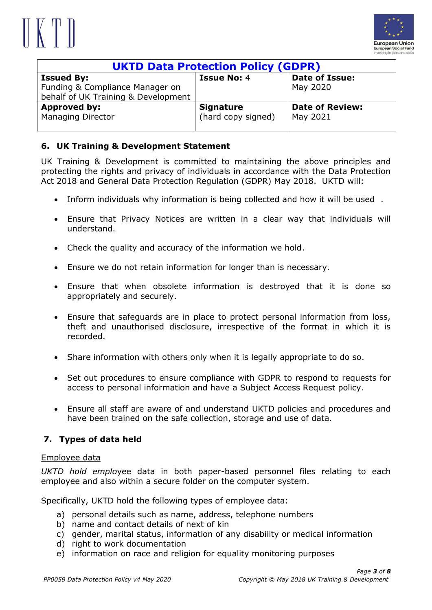## $\parallel$  K T  $\parallel$



| <b>UKTD Data Protection Policy (GDPR)</b> |                    |                        |
|-------------------------------------------|--------------------|------------------------|
| <b>Issued By:</b>                         | <b>Issue No: 4</b> | <b>Date of Issue:</b>  |
| Funding & Compliance Manager on           |                    | May 2020               |
| behalf of UK Training & Development       |                    |                        |
| Approved by:                              | <b>Signature</b>   | <b>Date of Review:</b> |
| <b>Managing Director</b>                  | (hard copy signed) | May 2021               |
|                                           |                    |                        |

## **6. UK Training & Development Statement**

UK Training & Development is committed to maintaining the above principles and protecting the rights and privacy of individuals in accordance with the Data Protection Act 2018 and General Data Protection Regulation (GDPR) May 2018. UKTD will:

- Inform individuals why information is being collected and how it will be used .
- Ensure that Privacy Notices are written in a clear way that individuals will understand.
- Check the quality and accuracy of the information we hold.
- Ensure we do not retain information for longer than is necessary.
- Ensure that when obsolete information is destroyed that it is done so appropriately and securely.
- Ensure that safeguards are in place to protect personal information from loss, theft and unauthorised disclosure, irrespective of the format in which it is recorded.
- Share information with others only when it is legally appropriate to do so.
- Set out procedures to ensure compliance with GDPR to respond to requests for access to personal information and have a Subject Access Request policy.
- Ensure all staff are aware of and understand UKTD policies and procedures and have been trained on the safe collection, storage and use of data.

### **7. Types of data held**

#### Employee data

*UKTD hold emplo*yee data in both paper-based personnel files relating to each employee and also within a secure folder on the computer system.

Specifically, UKTD hold the following types of employee data:

- a) personal details such as name, address, telephone numbers
- b) name and contact details of next of kin
- c) gender, marital status, information of any disability or medical information
- d) right to work documentation
- e) information on race and religion for equality monitoring purposes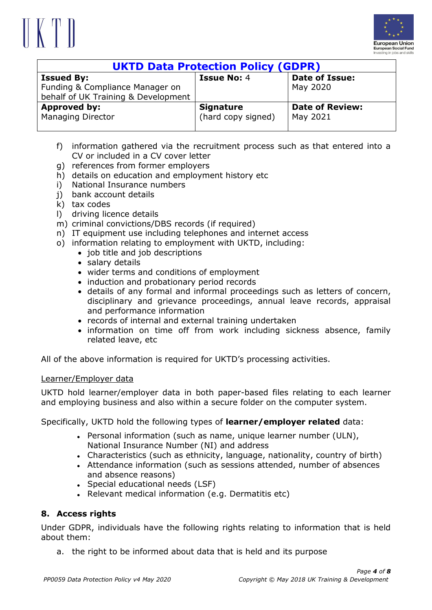# $\|\n\|$



| <b>UKTD Data Protection Policy (GDPR)</b> |                    |                        |
|-------------------------------------------|--------------------|------------------------|
| <b>Issued By:</b>                         | <b>Issue No: 4</b> | <b>Date of Issue:</b>  |
| Funding & Compliance Manager on           |                    | May 2020               |
| behalf of UK Training & Development       |                    |                        |
| Approved by:                              | <b>Signature</b>   | <b>Date of Review:</b> |
| <b>Managing Director</b>                  | (hard copy signed) | May 2021               |
|                                           |                    |                        |

- f) information gathered via the recruitment process such as that entered into a CV or included in a CV cover letter
- g) references from former employers
- h) details on education and employment history etc
- i) National Insurance numbers
- i) bank account details
- k) tax codes
- l) driving licence details
- m) criminal convictions/DBS records (if required)
- n) IT equipment use including telephones and internet access
- o) information relating to employment with UKTD, including:
	- job title and job descriptions
	- salary details
	- wider terms and conditions of employment
	- induction and probationary period records
	- details of any formal and informal proceedings such as letters of concern, disciplinary and grievance proceedings, annual leave records, appraisal and performance information
	- records of internal and external training undertaken
	- information on time off from work including sickness absence, family related leave, etc

All of the above information is required for UKTD's processing activities.

#### Learner/Employer data

UKTD hold learner/employer data in both paper-based files relating to each learner and employing business and also within a secure folder on the computer system.

Specifically, UKTD hold the following types of **learner/employer related** data:

- Personal information (such as name, unique learner number (ULN), National Insurance Number (NI) and address
- Characteristics (such as ethnicity, language, nationality, country of birth)
- Attendance information (such as sessions attended, number of absences and absence reasons)
- Special educational needs (LSF)
- Relevant medical information (e.g. Dermatitis etc)

#### **8. Access rights**

Under GDPR, individuals have the following rights relating to information that is held about them:

a. the right to be informed about data that is held and its purpose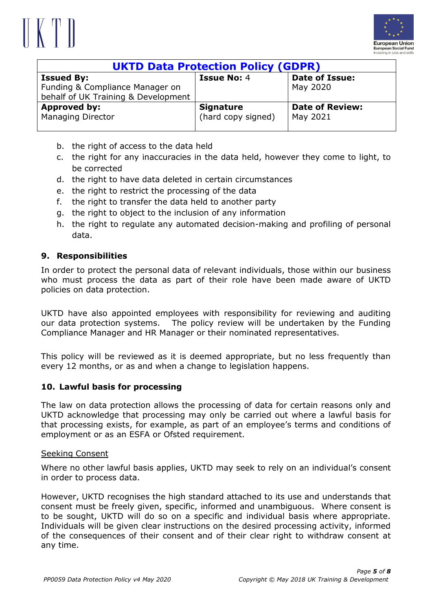## $\parallel$  K T  $\parallel$



| <b>UKTD Data Protection Policy (GDPR)</b> |                    |                        |
|-------------------------------------------|--------------------|------------------------|
| <b>Issued By:</b>                         | <b>Issue No: 4</b> | <b>Date of Issue:</b>  |
| Funding & Compliance Manager on           |                    | May 2020               |
| behalf of UK Training & Development       |                    |                        |
| <b>Approved by:</b>                       | <b>Signature</b>   | <b>Date of Review:</b> |
| <b>Managing Director</b>                  | (hard copy signed) | May 2021               |
|                                           |                    |                        |

- b. the right of access to the data held
- c. the right for any inaccuracies in the data held, however they come to light, to be corrected
- d. the right to have data deleted in certain circumstances
- e. the right to restrict the processing of the data
- f. the right to transfer the data held to another party
- g. the right to object to the inclusion of any information
- h. the right to regulate any automated decision-making and profiling of personal data.

### **9. Responsibilities**

In order to protect the personal data of relevant individuals, those within our business who must process the data as part of their role have been made aware of UKTD policies on data protection.

UKTD have also appointed employees with responsibility for reviewing and auditing our data protection systems. The policy review will be undertaken by the Funding Compliance Manager and HR Manager or their nominated representatives.

This policy will be reviewed as it is deemed appropriate, but no less frequently than every 12 months, or as and when a change to legislation happens.

#### **10. Lawful basis for processing**

The law on data protection allows the processing of data for certain reasons only and UKTD acknowledge that processing may only be carried out where a lawful basis for that processing exists, for example, as part of an employee's terms and conditions of employment or as an ESFA or Ofsted requirement.

#### Seeking Consent

Where no other lawful basis applies, UKTD may seek to rely on an individual's consent in order to process data.

However, UKTD recognises the high standard attached to its use and understands that consent must be freely given, specific, informed and unambiguous. Where consent is to be sought, UKTD will do so on a specific and individual basis where appropriate. Individuals will be given clear instructions on the desired processing activity, informed of the consequences of their consent and of their clear right to withdraw consent at any time.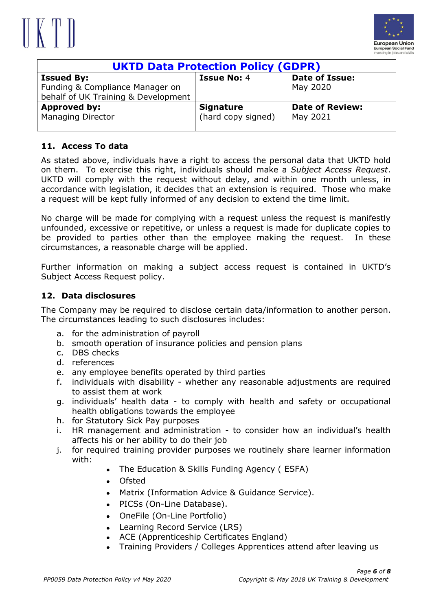



| <b>UKTD Data Protection Policy (GDPR)</b> |                    |                        |
|-------------------------------------------|--------------------|------------------------|
| <b>Issued By:</b>                         | <b>Issue No: 4</b> | <b>Date of Issue:</b>  |
| Funding & Compliance Manager on           |                    | May 2020               |
| behalf of UK Training & Development       |                    |                        |
| <b>Approved by:</b>                       | <b>Signature</b>   | <b>Date of Review:</b> |
| <b>Managing Director</b>                  | (hard copy signed) | May 2021               |
|                                           |                    |                        |

#### **11. Access To data**

As stated above, individuals have a right to access the personal data that UKTD hold on them. To exercise this right, individuals should make a *Subject Access Request*. UKTD will comply with the request without delay, and within one month unless, in accordance with legislation, it decides that an extension is required. Those who make a request will be kept fully informed of any decision to extend the time limit.

No charge will be made for complying with a request unless the request is manifestly unfounded, excessive or repetitive, or unless a request is made for duplicate copies to be provided to parties other than the employee making the request. In these circumstances, a reasonable charge will be applied.

Further information on making a subject access request is contained in UKTD's Subject Access Request policy.

#### **12. Data disclosures**

The Company may be required to disclose certain data/information to another person. The circumstances leading to such disclosures includes:

- a. for the administration of payroll
- b. smooth operation of insurance policies and pension plans
- c. DBS checks
- d. references
- e. any employee benefits operated by third parties
- f. individuals with disability whether any reasonable adjustments are required to assist them at work
- g. individuals' health data to comply with health and safety or occupational health obligations towards the employee
- h. for Statutory Sick Pay purposes
- i. HR management and administration to consider how an individual's health affects his or her ability to do their job
- j. for required training provider purposes we routinely share learner information with:
	- The Education & Skills Funding Agency ( ESFA)
	- Ofsted
	- Matrix (Information Advice & Guidance Service).
	- PICSs (On-Line Database).
	- OneFile (On-Line Portfolio)
	- Learning Record Service (LRS)
	- ACE (Apprenticeship Certificates England)
	- Training Providers / Colleges Apprentices attend after leaving us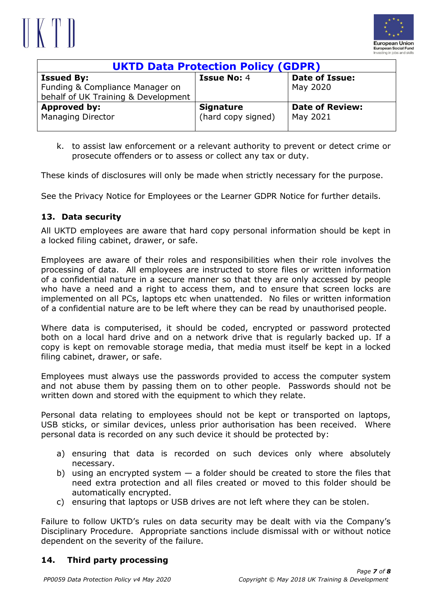## $\|\n\|$



| <b>UKTD Data Protection Policy (GDPR)</b>                                                   |                                        |                                    |
|---------------------------------------------------------------------------------------------|----------------------------------------|------------------------------------|
| <b>Issued By:</b><br>Funding & Compliance Manager on<br>behalf of UK Training & Development | <b>Issue No: 4</b>                     | Date of Issue:<br>May 2020         |
| <b>Approved by:</b><br><b>Managing Director</b>                                             | <b>Signature</b><br>(hard copy signed) | <b>Date of Review:</b><br>May 2021 |

k. to assist law enforcement or a relevant authority to prevent or detect crime or prosecute offenders or to assess or collect any tax or duty.

These kinds of disclosures will only be made when strictly necessary for the purpose.

See the Privacy Notice for Employees or the Learner GDPR Notice for further details.

#### **13. Data security**

All UKTD employees are aware that hard copy personal information should be kept in a locked filing cabinet, drawer, or safe.

Employees are aware of their roles and responsibilities when their role involves the processing of data. All employees are instructed to store files or written information of a confidential nature in a secure manner so that they are only accessed by people who have a need and a right to access them, and to ensure that screen locks are implemented on all PCs, laptops etc when unattended. No files or written information of a confidential nature are to be left where they can be read by unauthorised people.

Where data is computerised, it should be coded, encrypted or password protected both on a local hard drive and on a network drive that is regularly backed up. If a copy is kept on removable storage media, that media must itself be kept in a locked filing cabinet, drawer, or safe.

Employees must always use the passwords provided to access the computer system and not abuse them by passing them on to other people. Passwords should not be written down and stored with the equipment to which they relate.

Personal data relating to employees should not be kept or transported on laptops, USB sticks, or similar devices, unless prior authorisation has been received. Where personal data is recorded on any such device it should be protected by:

- a) ensuring that data is recorded on such devices only where absolutely necessary.
- b) using an encrypted system  $-$  a folder should be created to store the files that need extra protection and all files created or moved to this folder should be automatically encrypted.
- c) ensuring that laptops or USB drives are not left where they can be stolen.

Failure to follow UKTD's rules on data security may be dealt with via the Company's Disciplinary Procedure. Appropriate sanctions include dismissal with or without notice dependent on the severity of the failure.

#### **14. Third party processing**